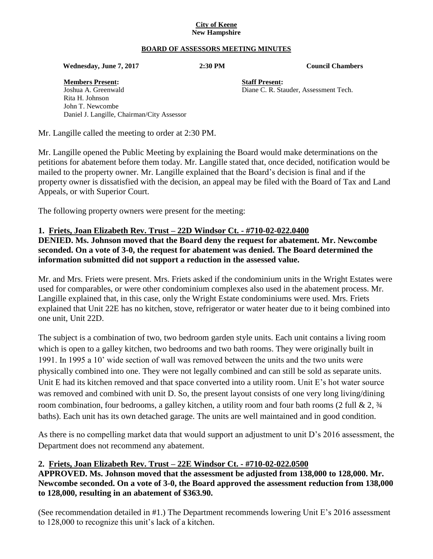#### **City of Keene New Hampshire**

#### **BOARD OF ASSESSORS MEETING MINUTES**

 **Wednesday, June 7, 2017 2:30 PM Council Chambers**

**Members Present: Staff Present:**

Joshua A. Greenwald Diane C. R. Stauder, Assessment Tech. Rita H. Johnson John T. Newcombe Daniel J. Langille, Chairman/City Assessor

Mr. Langille called the meeting to order at 2:30 PM.

Mr. Langille opened the Public Meeting by explaining the Board would make determinations on the petitions for abatement before them today. Mr. Langille stated that, once decided, notification would be mailed to the property owner. Mr. Langille explained that the Board's decision is final and if the property owner is dissatisfied with the decision, an appeal may be filed with the Board of Tax and Land Appeals, or with Superior Court.

The following property owners were present for the meeting:

#### **1. Friets, Joan Elizabeth Rev. Trust – 22D Windsor Ct. - #710-02-022.0400**

**DENIED. Ms. Johnson moved that the Board deny the request for abatement. Mr. Newcombe seconded. On a vote of 3-0, the request for abatement was denied. The Board determined the information submitted did not support a reduction in the assessed value.**

Mr. and Mrs. Friets were present. Mrs. Friets asked if the condominium units in the Wright Estates were used for comparables, or were other condominium complexes also used in the abatement process. Mr. Langille explained that, in this case, only the Wright Estate condominiums were used. Mrs. Friets explained that Unit 22E has no kitchen, stove, refrigerator or water heater due to it being combined into one unit, Unit 22D.

The subject is a combination of two, two bedroom garden style units. Each unit contains a living room which is open to a galley kitchen, two bedrooms and two bath rooms. They were originally built in 1991. In 1995 a 10' wide section of wall was removed between the units and the two units were physically combined into one. They were not legally combined and can still be sold as separate units. Unit E had its kitchen removed and that space converted into a utility room. Unit E's hot water source was removed and combined with unit D. So, the present layout consists of one very long living/dining room combination, four bedrooms, a galley kitchen, a utility room and four bath rooms (2 full  $& 2, \frac{3}{4}$ ) baths). Each unit has its own detached garage. The units are well maintained and in good condition.

As there is no compelling market data that would support an adjustment to unit D's 2016 assessment, the Department does not recommend any abatement.

#### **2. Friets, Joan Elizabeth Rev. Trust – 22E Windsor Ct. - #710-02-022.0500 APPROVED. Ms. Johnson moved that the assessment be adjusted from 138,000 to 128,000. Mr.**

**Newcombe seconded. On a vote of 3-0, the Board approved the assessment reduction from 138,000 to 128,000, resulting in an abatement of \$363.90.**

(See recommendation detailed in #1.) The Department recommends lowering Unit E's 2016 assessment to 128,000 to recognize this unit's lack of a kitchen.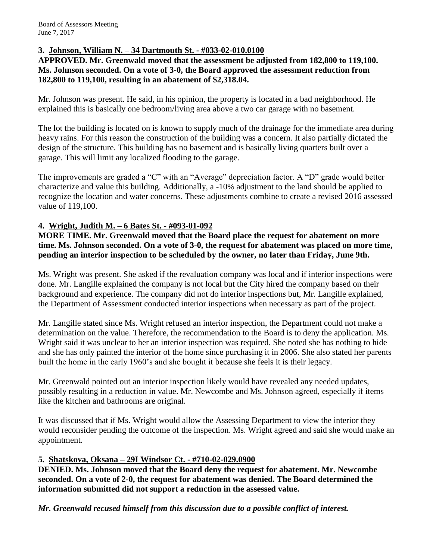## **3. Johnson, William N. – 34 Dartmouth St. - #033-02-010.0100**

#### **APPROVED. Mr. Greenwald moved that the assessment be adjusted from 182,800 to 119,100. Ms. Johnson seconded. On a vote of 3-0, the Board approved the assessment reduction from 182,800 to 119,100, resulting in an abatement of \$2,318.04.**

Mr. Johnson was present. He said, in his opinion, the property is located in a bad neighborhood. He explained this is basically one bedroom/living area above a two car garage with no basement.

The lot the building is located on is known to supply much of the drainage for the immediate area during heavy rains. For this reason the construction of the building was a concern. It also partially dictated the design of the structure. This building has no basement and is basically living quarters built over a garage. This will limit any localized flooding to the garage.

The improvements are graded a "C" with an "Average" depreciation factor. A "D" grade would better characterize and value this building. Additionally, a -10% adjustment to the land should be applied to recognize the location and water concerns. These adjustments combine to create a revised 2016 assessed value of 119,100.

### **4. Wright, Judith M. – 6 Bates St. - #093-01-092**

**MORE TIME. Mr. Greenwald moved that the Board place the request for abatement on more time. Ms. Johnson seconded. On a vote of 3-0, the request for abatement was placed on more time, pending an interior inspection to be scheduled by the owner, no later than Friday, June 9th.**

Ms. Wright was present. She asked if the revaluation company was local and if interior inspections were done. Mr. Langille explained the company is not local but the City hired the company based on their background and experience. The company did not do interior inspections but, Mr. Langille explained, the Department of Assessment conducted interior inspections when necessary as part of the project.

Mr. Langille stated since Ms. Wright refused an interior inspection, the Department could not make a determination on the value. Therefore, the recommendation to the Board is to deny the application. Ms. Wright said it was unclear to her an interior inspection was required. She noted she has nothing to hide and she has only painted the interior of the home since purchasing it in 2006. She also stated her parents built the home in the early 1960's and she bought it because she feels it is their legacy.

Mr. Greenwald pointed out an interior inspection likely would have revealed any needed updates, possibly resulting in a reduction in value. Mr. Newcombe and Ms. Johnson agreed, especially if items like the kitchen and bathrooms are original.

It was discussed that if Ms. Wright would allow the Assessing Department to view the interior they would reconsider pending the outcome of the inspection. Ms. Wright agreed and said she would make an appointment.

### **5. Shatskova, Oksana – 29I Windsor Ct. - #710-02-029.0900**

**DENIED. Ms. Johnson moved that the Board deny the request for abatement. Mr. Newcombe seconded. On a vote of 2-0, the request for abatement was denied. The Board determined the information submitted did not support a reduction in the assessed value.**

*Mr. Greenwald recused himself from this discussion due to a possible conflict of interest.*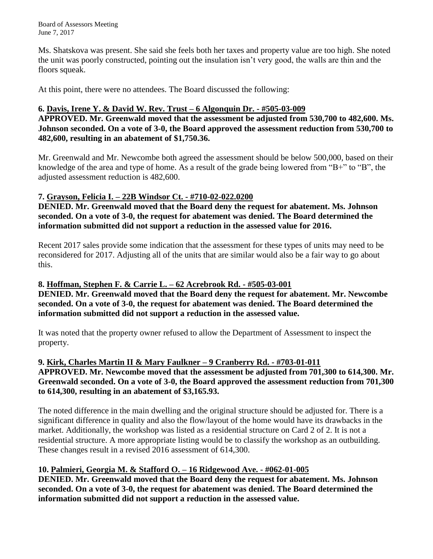Board of Assessors Meeting June 7, 2017

Ms. Shatskova was present. She said she feels both her taxes and property value are too high. She noted the unit was poorly constructed, pointing out the insulation isn't very good, the walls are thin and the floors squeak.

At this point, there were no attendees. The Board discussed the following:

#### **6. Davis, Irene Y. & David W. Rev. Trust – 6 Algonquin Dr. - #505-03-009**

**APPROVED. Mr. Greenwald moved that the assessment be adjusted from 530,700 to 482,600. Ms. Johnson seconded. On a vote of 3-0, the Board approved the assessment reduction from 530,700 to 482,600, resulting in an abatement of \$1,750.36.**

Mr. Greenwald and Mr. Newcombe both agreed the assessment should be below 500,000, based on their knowledge of the area and type of home. As a result of the grade being lowered from "B+" to "B", the adjusted assessment reduction is 482,600.

### **7. Grayson, Felicia I. – 22B Windsor Ct. - #710-02-022.0200**

**DENIED. Mr. Greenwald moved that the Board deny the request for abatement. Ms. Johnson seconded. On a vote of 3-0, the request for abatement was denied. The Board determined the information submitted did not support a reduction in the assessed value for 2016.**

Recent 2017 sales provide some indication that the assessment for these types of units may need to be reconsidered for 2017. Adjusting all of the units that are similar would also be a fair way to go about this.

### **8. Hoffman, Stephen F. & Carrie L. – 62 Acrebrook Rd. - #505-03-001**

**DENIED. Mr. Greenwald moved that the Board deny the request for abatement. Mr. Newcombe seconded. On a vote of 3-0, the request for abatement was denied. The Board determined the information submitted did not support a reduction in the assessed value.**

It was noted that the property owner refused to allow the Department of Assessment to inspect the property.

#### **9. Kirk, Charles Martin II & Mary Faulkner – 9 Cranberry Rd. - #703-01-011 APPROVED. Mr. Newcombe moved that the assessment be adjusted from 701,300 to 614,300. Mr. Greenwald seconded. On a vote of 3-0, the Board approved the assessment reduction from 701,300 to 614,300, resulting in an abatement of \$3,165.93.**

The noted difference in the main dwelling and the original structure should be adjusted for. There is a significant difference in quality and also the flow/layout of the home would have its drawbacks in the market. Additionally, the workshop was listed as a residential structure on Card 2 of 2. It is not a residential structure. A more appropriate listing would be to classify the workshop as an outbuilding. These changes result in a revised 2016 assessment of 614,300.

### **10. Palmieri, Georgia M. & Stafford O. – 16 Ridgewood Ave. - #062-01-005**

**DENIED. Mr. Greenwald moved that the Board deny the request for abatement. Ms. Johnson seconded. On a vote of 3-0, the request for abatement was denied. The Board determined the information submitted did not support a reduction in the assessed value.**